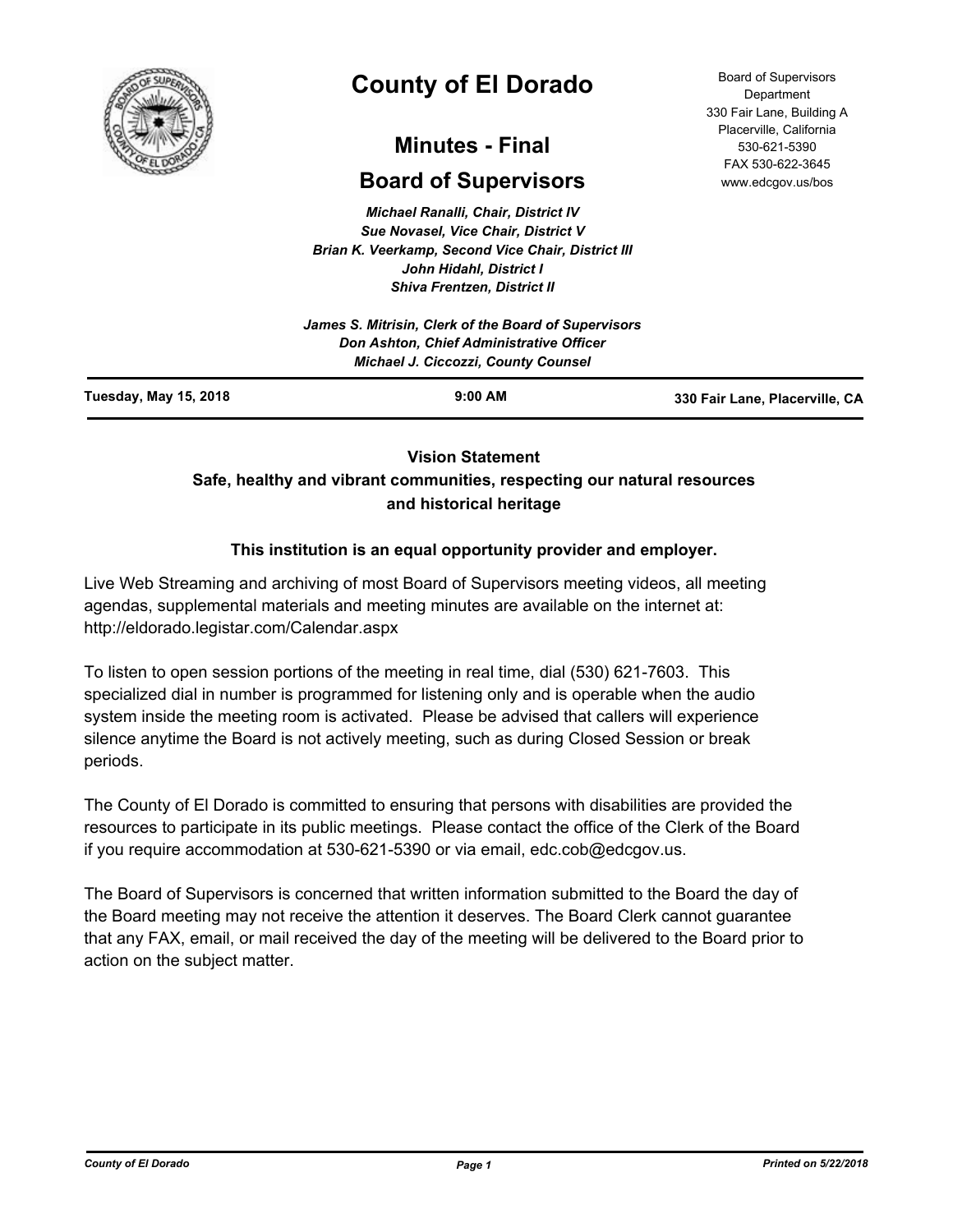

# **County of El Dorado**

## **Minutes - Final**

## **Board of Supervisors**

*Michael Ranalli, Chair, District IV Sue Novasel, Vice Chair, District V Brian K. Veerkamp, Second Vice Chair, District III John Hidahl, District I Shiva Frentzen, District II*

**Vision Statement** 

## **Safe, healthy and vibrant communities, respecting our natural resources and historical heritage**

## **This institution is an equal opportunity provider and employer.**

Live Web Streaming and archiving of most Board of Supervisors meeting videos, all meeting agendas, supplemental materials and meeting minutes are available on the internet at: http://eldorado.legistar.com/Calendar.aspx

To listen to open session portions of the meeting in real time, dial (530) 621-7603. This specialized dial in number is programmed for listening only and is operable when the audio system inside the meeting room is activated. Please be advised that callers will experience silence anytime the Board is not actively meeting, such as during Closed Session or break periods.

The County of El Dorado is committed to ensuring that persons with disabilities are provided the resources to participate in its public meetings. Please contact the office of the Clerk of the Board if you require accommodation at 530-621-5390 or via email, edc.cob@edcgov.us.

The Board of Supervisors is concerned that written information submitted to the Board the day of the Board meeting may not receive the attention it deserves. The Board Clerk cannot guarantee that any FAX, email, or mail received the day of the meeting will be delivered to the Board prior to action on the subject matter.

Board of Supervisors Department 330 Fair Lane, Building A Placerville, California 530-621-5390 FAX 530-622-3645 www.edcgov.us/bos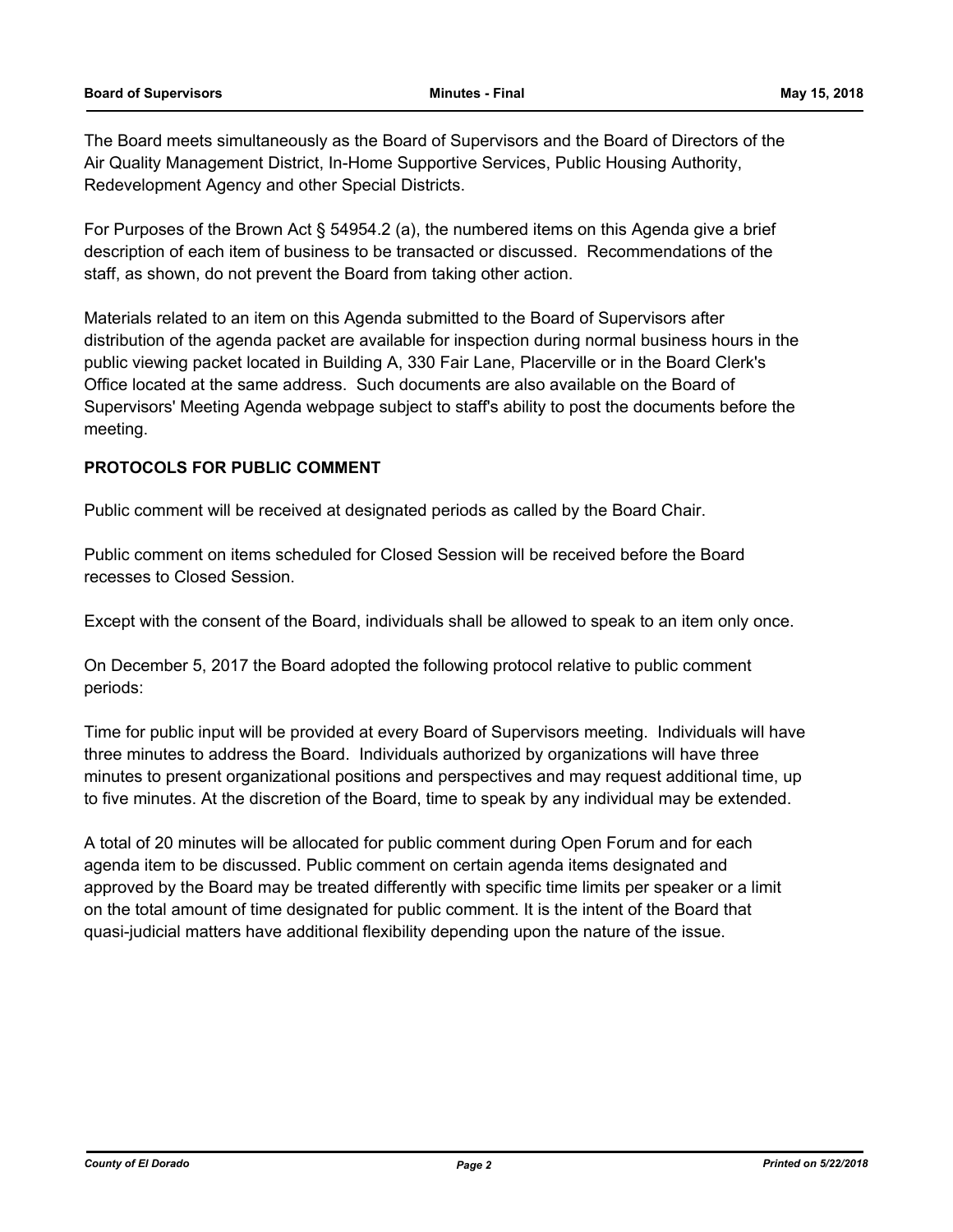The Board meets simultaneously as the Board of Supervisors and the Board of Directors of the Air Quality Management District, In-Home Supportive Services, Public Housing Authority, Redevelopment Agency and other Special Districts.

For Purposes of the Brown Act § 54954.2 (a), the numbered items on this Agenda give a brief description of each item of business to be transacted or discussed. Recommendations of the staff, as shown, do not prevent the Board from taking other action.

Materials related to an item on this Agenda submitted to the Board of Supervisors after distribution of the agenda packet are available for inspection during normal business hours in the public viewing packet located in Building A, 330 Fair Lane, Placerville or in the Board Clerk's Office located at the same address. Such documents are also available on the Board of Supervisors' Meeting Agenda webpage subject to staff's ability to post the documents before the meeting.

#### **PROTOCOLS FOR PUBLIC COMMENT**

Public comment will be received at designated periods as called by the Board Chair.

Public comment on items scheduled for Closed Session will be received before the Board recesses to Closed Session.

Except with the consent of the Board, individuals shall be allowed to speak to an item only once.

On December 5, 2017 the Board adopted the following protocol relative to public comment periods:

Time for public input will be provided at every Board of Supervisors meeting. Individuals will have three minutes to address the Board. Individuals authorized by organizations will have three minutes to present organizational positions and perspectives and may request additional time, up to five minutes. At the discretion of the Board, time to speak by any individual may be extended.

A total of 20 minutes will be allocated for public comment during Open Forum and for each agenda item to be discussed. Public comment on certain agenda items designated and approved by the Board may be treated differently with specific time limits per speaker or a limit on the total amount of time designated for public comment. It is the intent of the Board that quasi-judicial matters have additional flexibility depending upon the nature of the issue.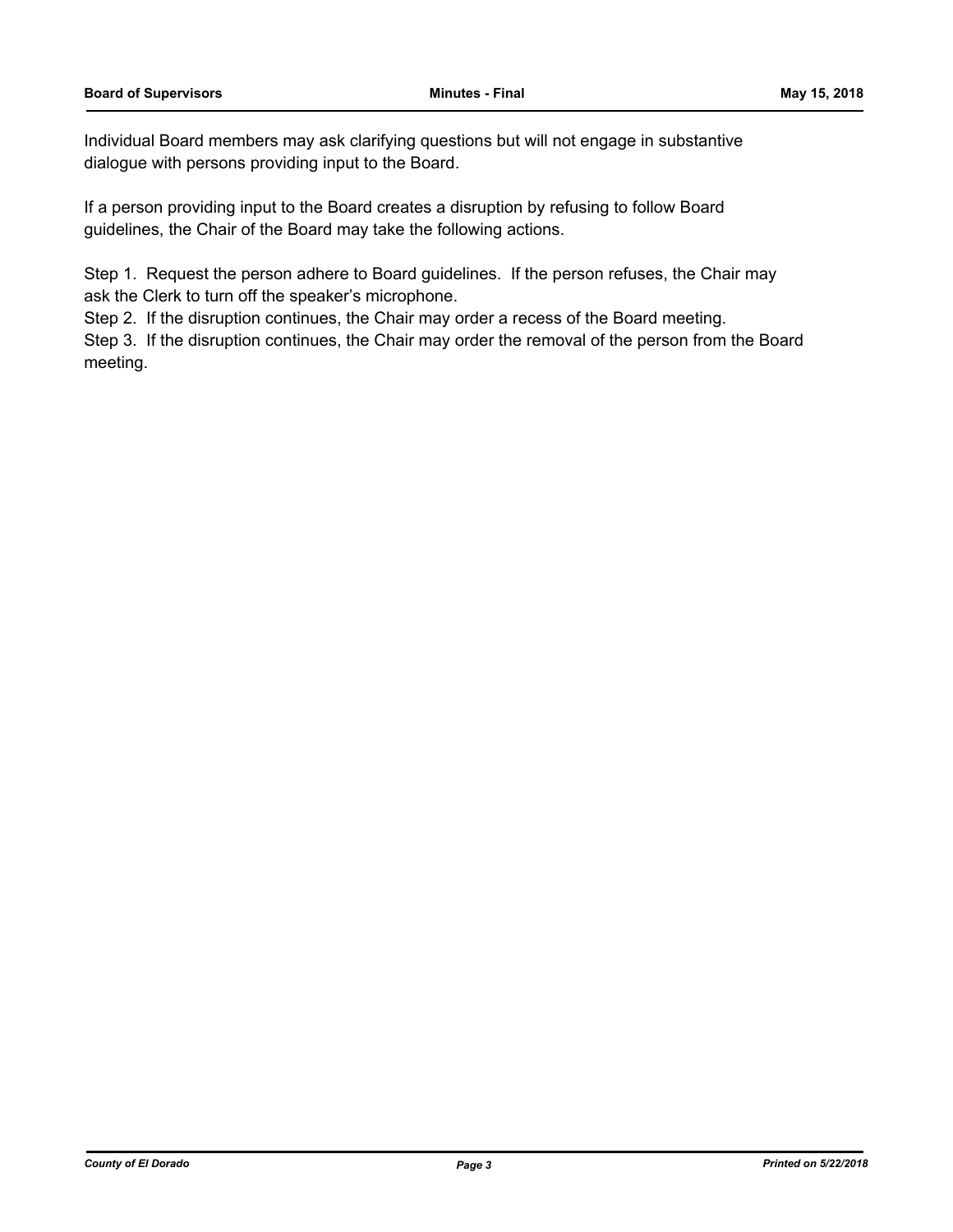Individual Board members may ask clarifying questions but will not engage in substantive dialogue with persons providing input to the Board.

If a person providing input to the Board creates a disruption by refusing to follow Board guidelines, the Chair of the Board may take the following actions.

Step 1. Request the person adhere to Board guidelines. If the person refuses, the Chair may ask the Clerk to turn off the speaker's microphone.

Step 2. If the disruption continues, the Chair may order a recess of the Board meeting.

Step 3. If the disruption continues, the Chair may order the removal of the person from the Board meeting.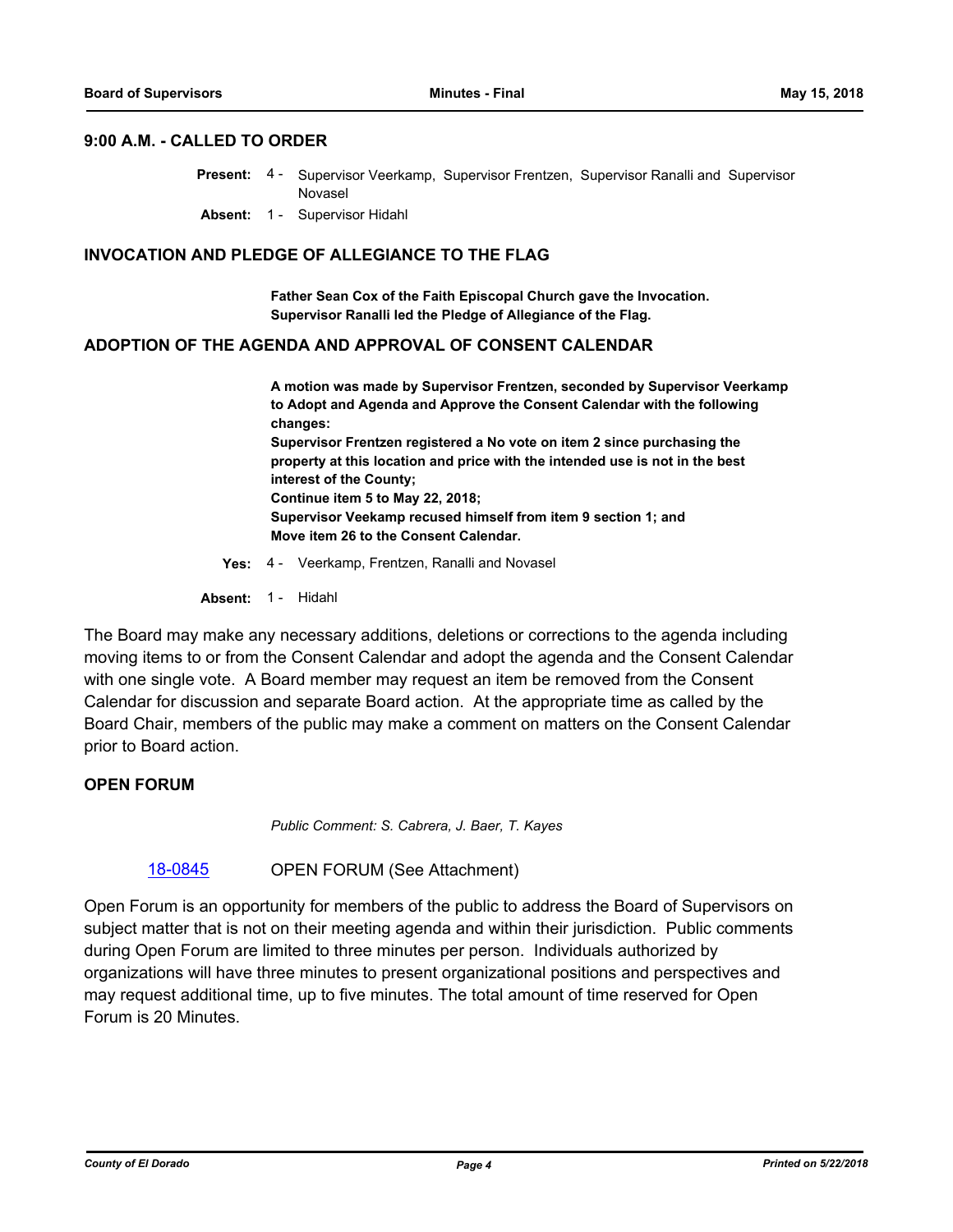#### **9:00 A.M. - CALLED TO ORDER**

Present: 4 - Supervisor Veerkamp, Supervisor Frentzen, Supervisor Ranalli and Supervisor Novasel

**Absent:** 1 - Supervisor Hidahl

#### **INVOCATION AND PLEDGE OF ALLEGIANCE TO THE FLAG**

**Father Sean Cox of the Faith Episcopal Church gave the Invocation. Supervisor Ranalli led the Pledge of Allegiance of the Flag.**

#### **ADOPTION OF THE AGENDA AND APPROVAL OF CONSENT CALENDAR**

**A motion was made by Supervisor Frentzen, seconded by Supervisor Veerkamp to Adopt and Agenda and Approve the Consent Calendar with the following changes: Supervisor Frentzen registered a No vote on item 2 since purchasing the property at this location and price with the intended use is not in the best interest of the County; Continue item 5 to May 22, 2018; Supervisor Veekamp recused himself from item 9 section 1; and Move item 26 to the Consent Calendar.**

- **Yes:** 4 Veerkamp, Frentzen, Ranalli and Novasel
- **Absent:** 1 Hidahl

The Board may make any necessary additions, deletions or corrections to the agenda including moving items to or from the Consent Calendar and adopt the agenda and the Consent Calendar with one single vote. A Board member may request an item be removed from the Consent Calendar for discussion and separate Board action. At the appropriate time as called by the Board Chair, members of the public may make a comment on matters on the Consent Calendar prior to Board action.

#### **OPEN FORUM**

*Public Comment: S. Cabrera, J. Baer, T. Kayes*

[18-0845](http://eldorado.legistar.com/gateway.aspx?m=l&id=/matter.aspx?key=24192) OPEN FORUM (See Attachment)

Open Forum is an opportunity for members of the public to address the Board of Supervisors on subject matter that is not on their meeting agenda and within their jurisdiction. Public comments during Open Forum are limited to three minutes per person. Individuals authorized by organizations will have three minutes to present organizational positions and perspectives and may request additional time, up to five minutes. The total amount of time reserved for Open Forum is 20 Minutes.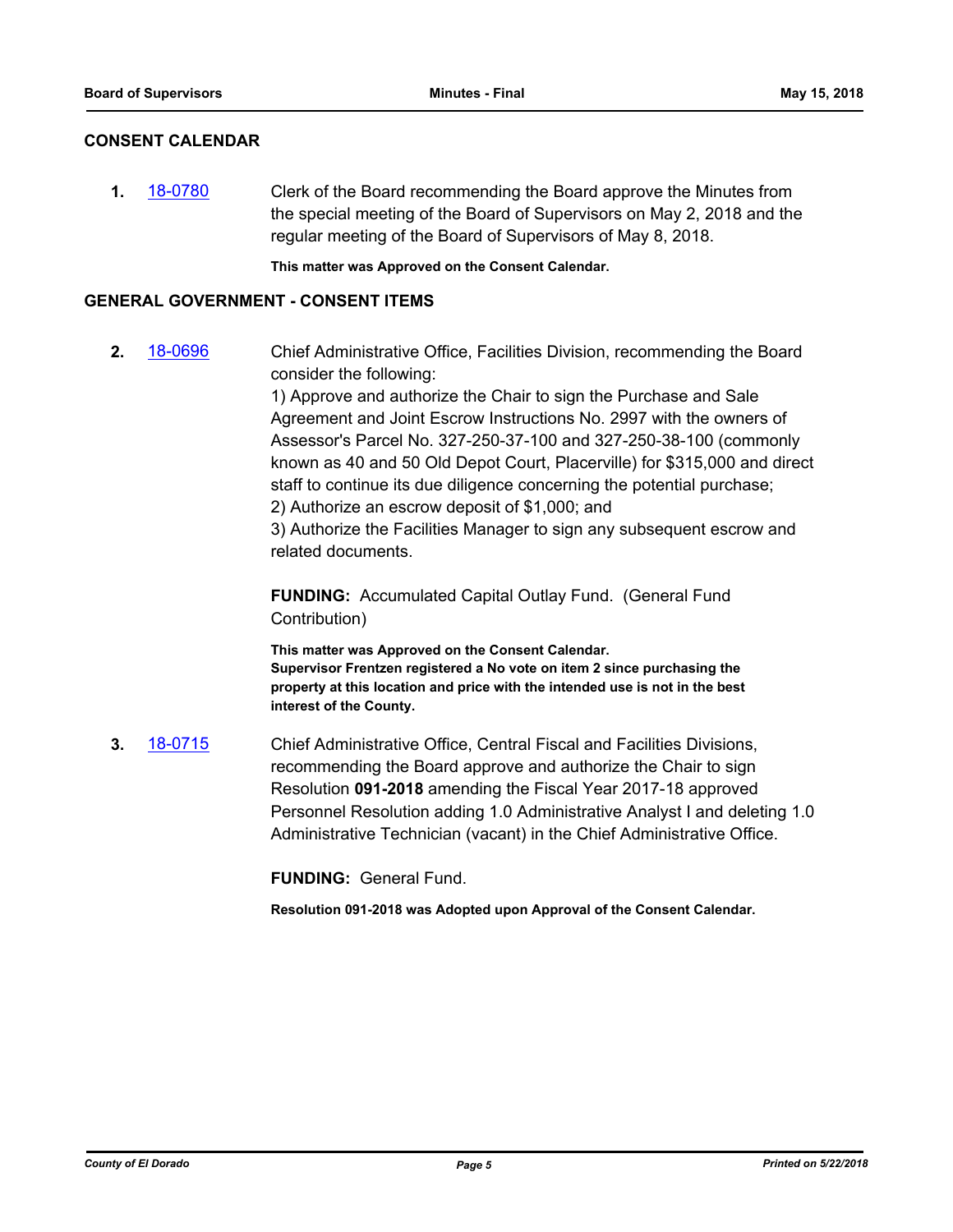#### **CONSENT CALENDAR**

**1.** [18-0780](http://eldorado.legistar.com/gateway.aspx?m=l&id=/matter.aspx?key=24127) Clerk of the Board recommending the Board approve the Minutes from the special meeting of the Board of Supervisors on May 2, 2018 and the regular meeting of the Board of Supervisors of May 8, 2018.

**This matter was Approved on the Consent Calendar.**

#### **GENERAL GOVERNMENT - CONSENT ITEMS**

**2.** [18-0696](http://eldorado.legistar.com/gateway.aspx?m=l&id=/matter.aspx?key=24040) Chief Administrative Office, Facilities Division, recommending the Board consider the following:

> 1) Approve and authorize the Chair to sign the Purchase and Sale Agreement and Joint Escrow Instructions No. 2997 with the owners of Assessor's Parcel No. 327-250-37-100 and 327-250-38-100 (commonly known as 40 and 50 Old Depot Court, Placerville) for \$315,000 and direct staff to continue its due diligence concerning the potential purchase; 2) Authorize an escrow deposit of \$1,000; and

3) Authorize the Facilities Manager to sign any subsequent escrow and related documents.

**FUNDING:** Accumulated Capital Outlay Fund. (General Fund Contribution)

**This matter was Approved on the Consent Calendar. Supervisor Frentzen registered a No vote on item 2 since purchasing the property at this location and price with the intended use is not in the best interest of the County.**

**3.** [18-0715](http://eldorado.legistar.com/gateway.aspx?m=l&id=/matter.aspx?key=24059) Chief Administrative Office, Central Fiscal and Facilities Divisions, recommending the Board approve and authorize the Chair to sign Resolution **091-2018** amending the Fiscal Year 2017-18 approved Personnel Resolution adding 1.0 Administrative Analyst I and deleting 1.0 Administrative Technician (vacant) in the Chief Administrative Office.

**FUNDING:** General Fund.

**Resolution 091-2018 was Adopted upon Approval of the Consent Calendar.**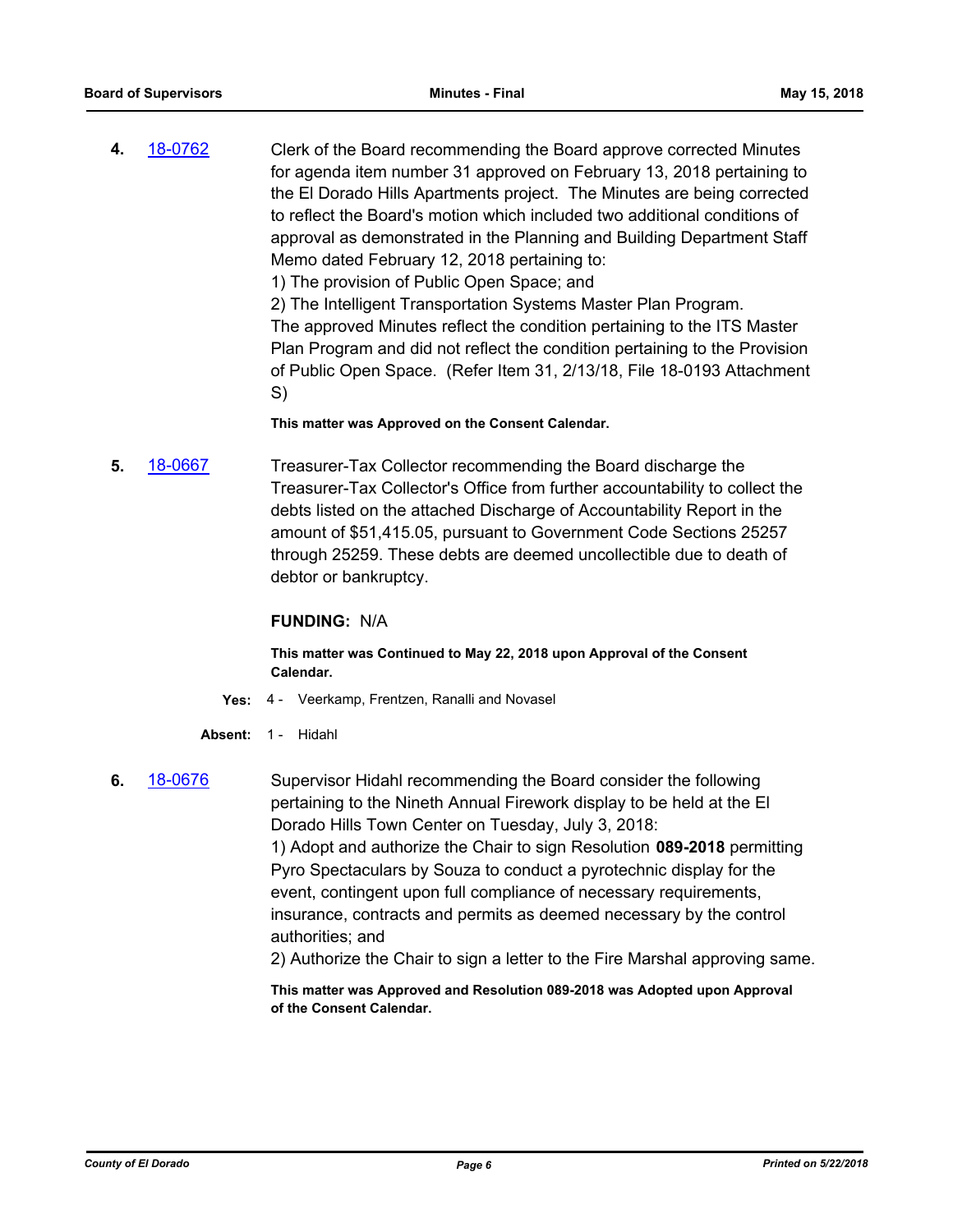**4.** [18-0762](http://eldorado.legistar.com/gateway.aspx?m=l&id=/matter.aspx?key=24109) Clerk of the Board recommending the Board approve corrected Minutes for agenda item number 31 approved on February 13, 2018 pertaining to the El Dorado Hills Apartments project. The Minutes are being corrected to reflect the Board's motion which included two additional conditions of approval as demonstrated in the Planning and Building Department Staff Memo dated February 12, 2018 pertaining to:

1) The provision of Public Open Space; and

2) The Intelligent Transportation Systems Master Plan Program. The approved Minutes reflect the condition pertaining to the ITS Master Plan Program and did not reflect the condition pertaining to the Provision of Public Open Space. (Refer Item 31, 2/13/18, File 18-0193 Attachment S)

#### **This matter was Approved on the Consent Calendar.**

**5.** [18-0667](http://eldorado.legistar.com/gateway.aspx?m=l&id=/matter.aspx?key=24012) Treasurer-Tax Collector recommending the Board discharge the Treasurer-Tax Collector's Office from further accountability to collect the debts listed on the attached Discharge of Accountability Report in the amount of \$51,415.05, pursuant to Government Code Sections 25257 through 25259. These debts are deemed uncollectible due to death of debtor or bankruptcy.

#### **FUNDING:** N/A

#### **This matter was Continued to May 22, 2018 upon Approval of the Consent Calendar.**

- **Yes:** 4 Veerkamp, Frentzen, Ranalli and Novasel
- **Absent:** 1 Hidahl
- **6.** [18-0676](http://eldorado.legistar.com/gateway.aspx?m=l&id=/matter.aspx?key=24021) Supervisor Hidahl recommending the Board consider the following pertaining to the Nineth Annual Firework display to be held at the El Dorado Hills Town Center on Tuesday, July 3, 2018: 1) Adopt and authorize the Chair to sign Resolution **089-2018** permitting Pyro Spectaculars by Souza to conduct a pyrotechnic display for the event, contingent upon full compliance of necessary requirements, insurance, contracts and permits as deemed necessary by the control authorities; and 2) Authorize the Chair to sign a letter to the Fire Marshal approving same.

**This matter was Approved and Resolution 089-2018 was Adopted upon Approval of the Consent Calendar.**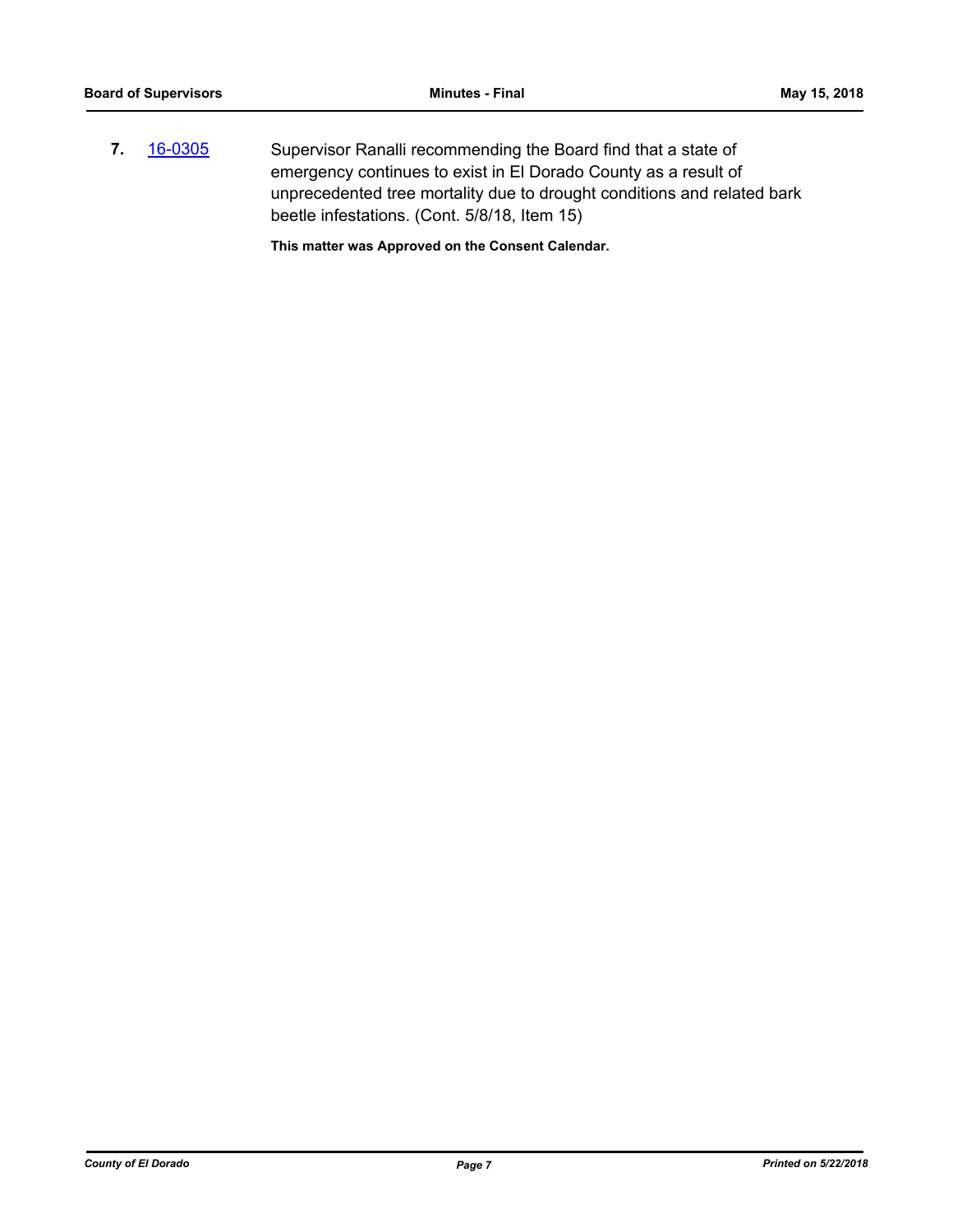**7.** [16-0305](http://eldorado.legistar.com/gateway.aspx?m=l&id=/matter.aspx?key=20961) Supervisor Ranalli recommending the Board find that a state of emergency continues to exist in El Dorado County as a result of unprecedented tree mortality due to drought conditions and related bark beetle infestations. (Cont. 5/8/18, Item 15)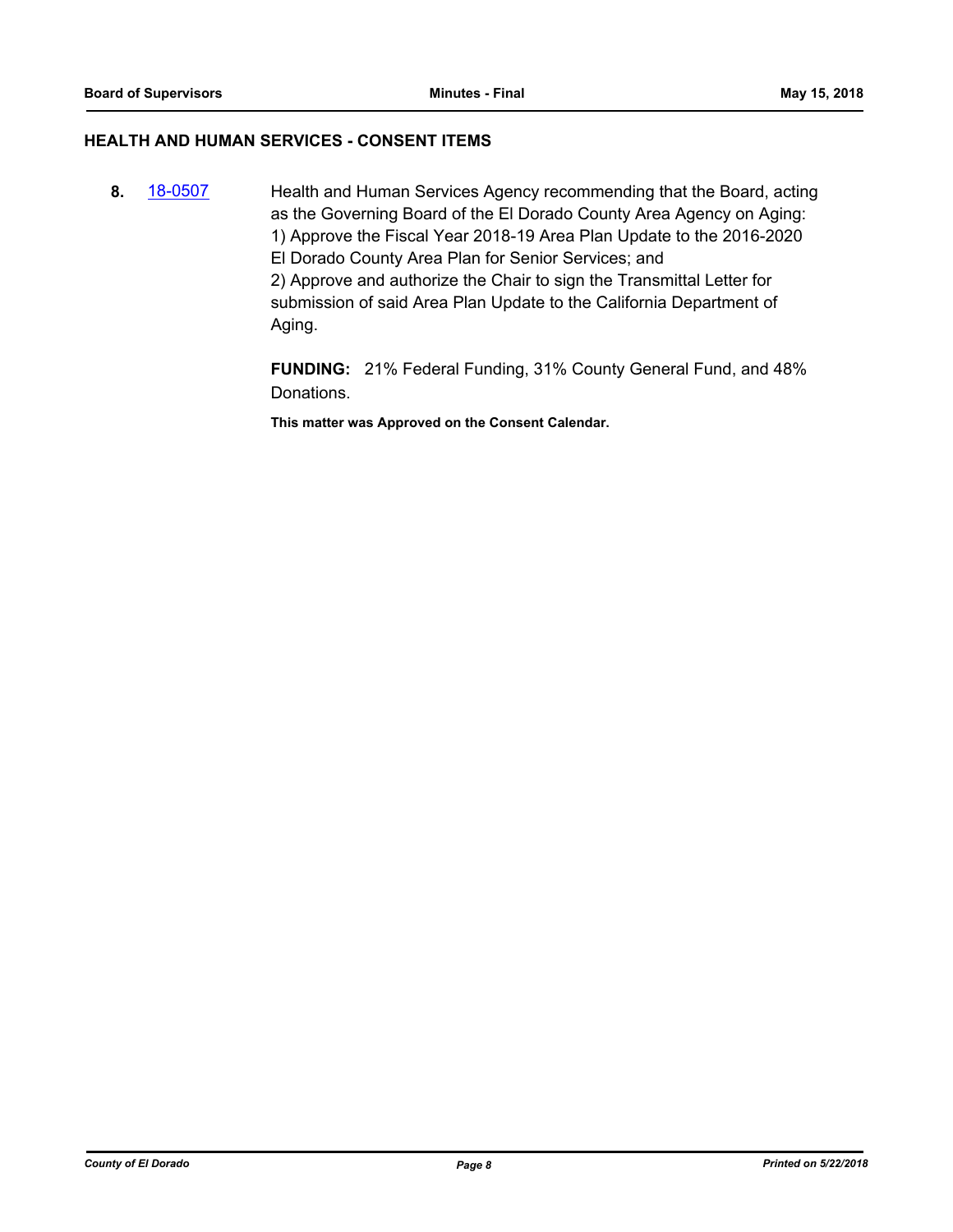#### **HEALTH AND HUMAN SERVICES - CONSENT ITEMS**

**8.** [18-0507](http://eldorado.legistar.com/gateway.aspx?m=l&id=/matter.aspx?key=23852) Health and Human Services Agency recommending that the Board, acting as the Governing Board of the El Dorado County Area Agency on Aging: 1) Approve the Fiscal Year 2018-19 Area Plan Update to the 2016-2020 El Dorado County Area Plan for Senior Services; and 2) Approve and authorize the Chair to sign the Transmittal Letter for submission of said Area Plan Update to the California Department of Aging.

> **FUNDING:** 21% Federal Funding, 31% County General Fund, and 48% Donations.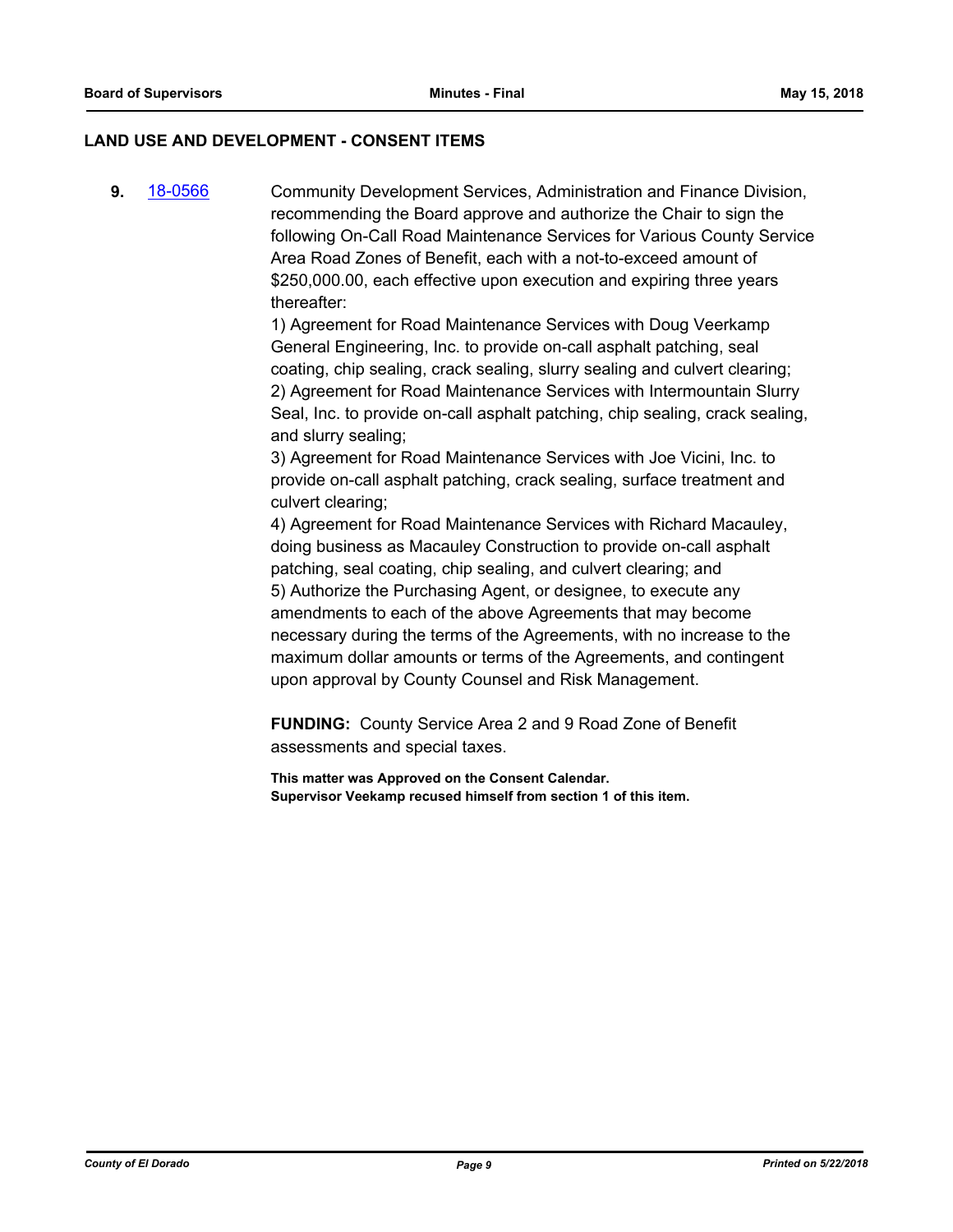#### **LAND USE AND DEVELOPMENT - CONSENT ITEMS**

**9.** [18-0566](http://eldorado.legistar.com/gateway.aspx?m=l&id=/matter.aspx?key=23911) Community Development Services, Administration and Finance Division, recommending the Board approve and authorize the Chair to sign the following On-Call Road Maintenance Services for Various County Service Area Road Zones of Benefit, each with a not-to-exceed amount of \$250,000.00, each effective upon execution and expiring three years thereafter:

> 1) Agreement for Road Maintenance Services with Doug Veerkamp General Engineering, Inc. to provide on-call asphalt patching, seal coating, chip sealing, crack sealing, slurry sealing and culvert clearing; 2) Agreement for Road Maintenance Services with Intermountain Slurry Seal, Inc. to provide on-call asphalt patching, chip sealing, crack sealing, and slurry sealing;

3) Agreement for Road Maintenance Services with Joe Vicini, Inc. to provide on-call asphalt patching, crack sealing, surface treatment and culvert clearing;

4) Agreement for Road Maintenance Services with Richard Macauley, doing business as Macauley Construction to provide on-call asphalt patching, seal coating, chip sealing, and culvert clearing; and 5) Authorize the Purchasing Agent, or designee, to execute any amendments to each of the above Agreements that may become necessary during the terms of the Agreements, with no increase to the maximum dollar amounts or terms of the Agreements, and contingent upon approval by County Counsel and Risk Management.

**FUNDING:** County Service Area 2 and 9 Road Zone of Benefit assessments and special taxes.

**This matter was Approved on the Consent Calendar. Supervisor Veekamp recused himself from section 1 of this item.**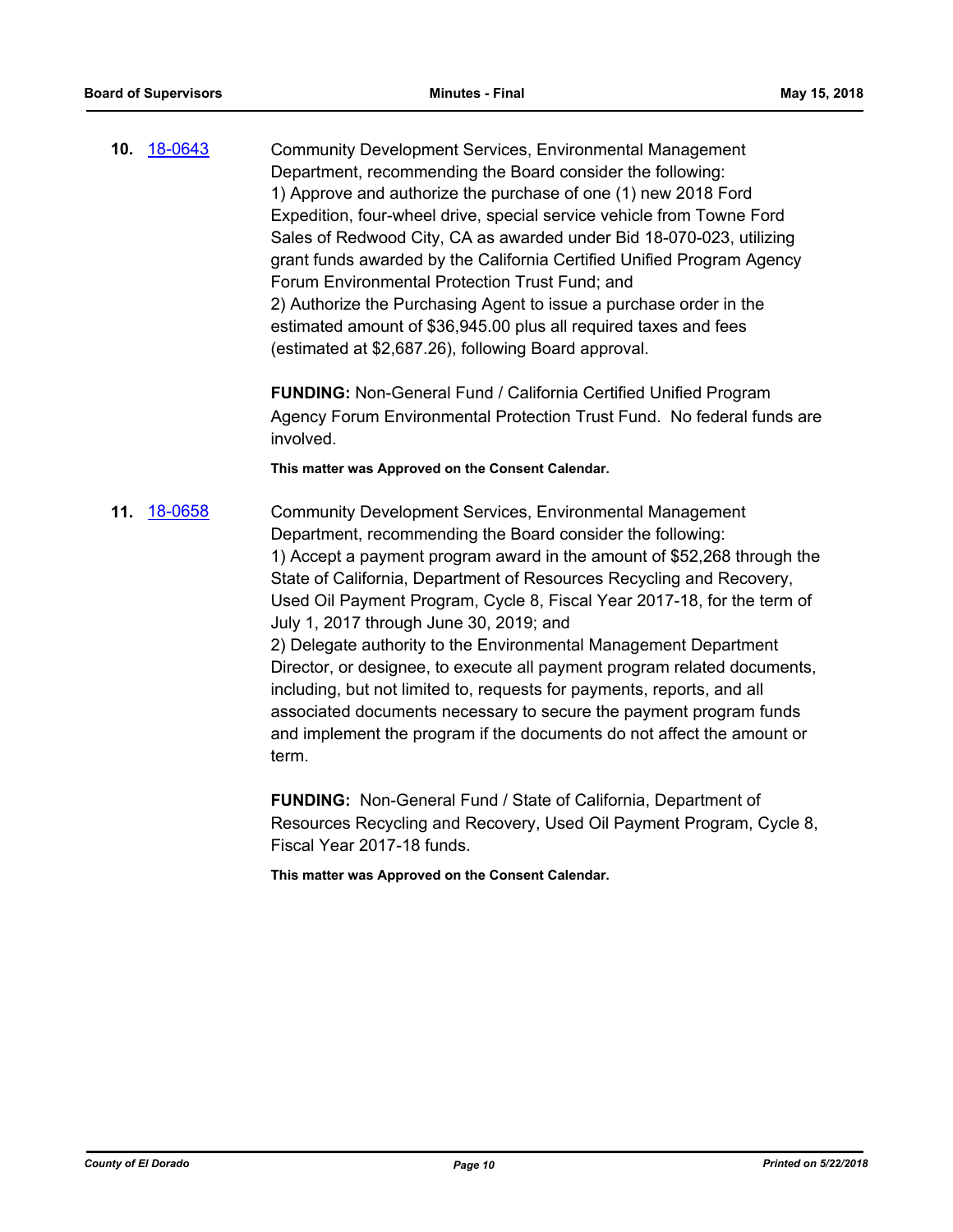**10.** [18-0643](http://eldorado.legistar.com/gateway.aspx?m=l&id=/matter.aspx?key=23988) Community Development Services, Environmental Management Department, recommending the Board consider the following: 1) Approve and authorize the purchase of one (1) new 2018 Ford Expedition, four-wheel drive, special service vehicle from Towne Ford Sales of Redwood City, CA as awarded under Bid 18-070-023, utilizing grant funds awarded by the California Certified Unified Program Agency Forum Environmental Protection Trust Fund; and 2) Authorize the Purchasing Agent to issue a purchase order in the estimated amount of \$36,945.00 plus all required taxes and fees (estimated at \$2,687.26), following Board approval.

> **FUNDING:** Non-General Fund / California Certified Unified Program Agency Forum Environmental Protection Trust Fund. No federal funds are involved.

#### **This matter was Approved on the Consent Calendar.**

**11.** [18-0658](http://eldorado.legistar.com/gateway.aspx?m=l&id=/matter.aspx?key=24003) Community Development Services, Environmental Management Department, recommending the Board consider the following: 1) Accept a payment program award in the amount of \$52,268 through the State of California, Department of Resources Recycling and Recovery, Used Oil Payment Program, Cycle 8, Fiscal Year 2017-18, for the term of July 1, 2017 through June 30, 2019; and 2) Delegate authority to the Environmental Management Department Director, or designee, to execute all payment program related documents, including, but not limited to, requests for payments, reports, and all associated documents necessary to secure the payment program funds and implement the program if the documents do not affect the amount or term.

> **FUNDING:** Non-General Fund / State of California, Department of Resources Recycling and Recovery, Used Oil Payment Program, Cycle 8, Fiscal Year 2017-18 funds.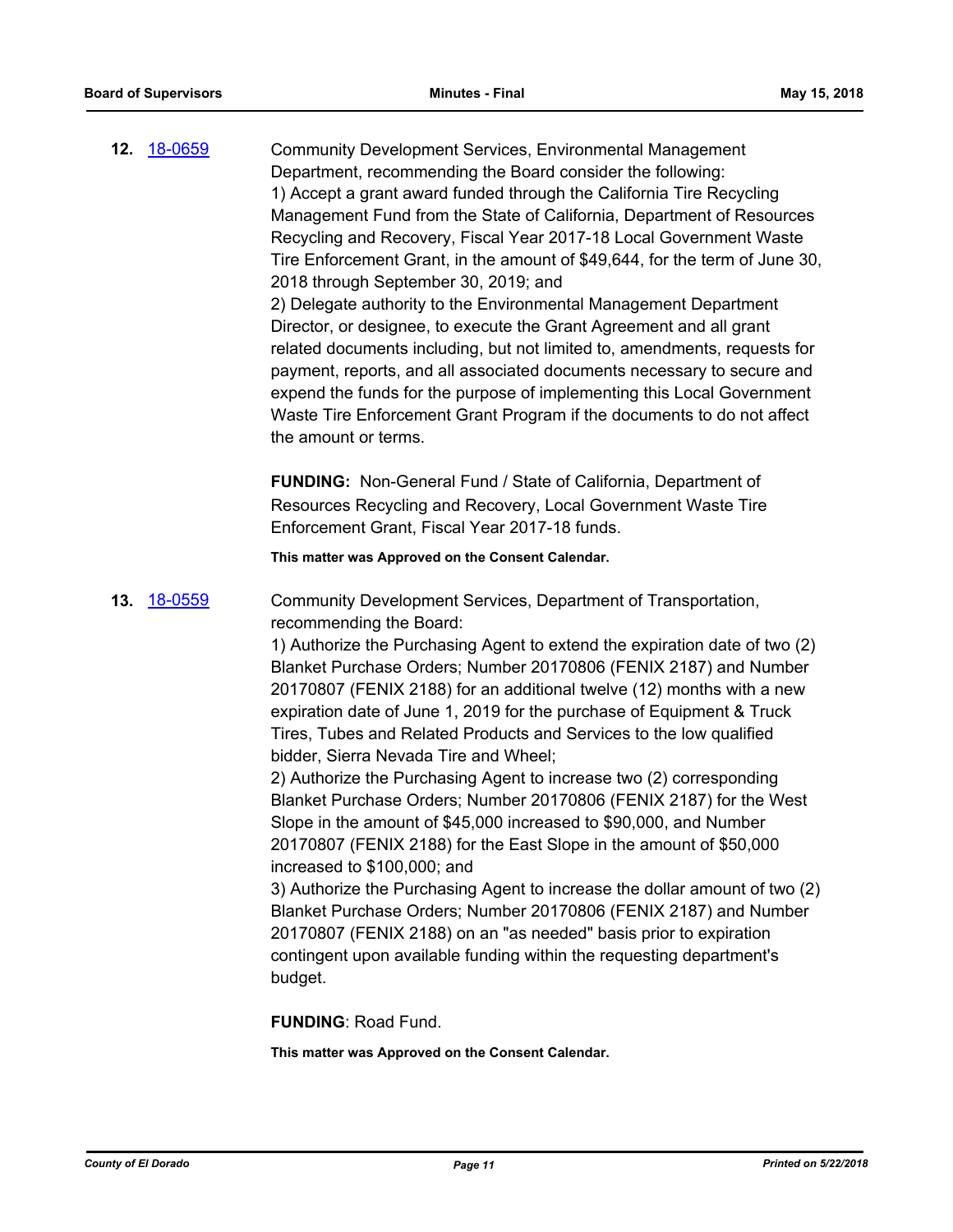**12.** [18-0659](http://eldorado.legistar.com/gateway.aspx?m=l&id=/matter.aspx?key=24004) Community Development Services, Environmental Management Department, recommending the Board consider the following: 1) Accept a grant award funded through the California Tire Recycling Management Fund from the State of California, Department of Resources Recycling and Recovery, Fiscal Year 2017-18 Local Government Waste Tire Enforcement Grant, in the amount of \$49,644, for the term of June 30, 2018 through September 30, 2019; and 2) Delegate authority to the Environmental Management Department Director, or designee, to execute the Grant Agreement and all grant related documents including, but not limited to, amendments, requests for payment, reports, and all associated documents necessary to secure and expend the funds for the purpose of implementing this Local Government Waste Tire Enforcement Grant Program if the documents to do not affect the amount or terms.

> **FUNDING:** Non-General Fund / State of California, Department of Resources Recycling and Recovery, Local Government Waste Tire Enforcement Grant, Fiscal Year 2017-18 funds.

#### **This matter was Approved on the Consent Calendar.**

### **13.** [18-0559](http://eldorado.legistar.com/gateway.aspx?m=l&id=/matter.aspx?key=23904) Community Development Services, Department of Transportation, recommending the Board:

1) Authorize the Purchasing Agent to extend the expiration date of two (2) Blanket Purchase Orders; Number 20170806 (FENIX 2187) and Number 20170807 (FENIX 2188) for an additional twelve (12) months with a new expiration date of June 1, 2019 for the purchase of Equipment & Truck Tires, Tubes and Related Products and Services to the low qualified bidder, Sierra Nevada Tire and Wheel;

2) Authorize the Purchasing Agent to increase two (2) corresponding Blanket Purchase Orders; Number 20170806 (FENIX 2187) for the West Slope in the amount of \$45,000 increased to \$90,000, and Number 20170807 (FENIX 2188) for the East Slope in the amount of \$50,000 increased to \$100,000; and

3) Authorize the Purchasing Agent to increase the dollar amount of two (2) Blanket Purchase Orders; Number 20170806 (FENIX 2187) and Number 20170807 (FENIX 2188) on an "as needed" basis prior to expiration contingent upon available funding within the requesting department's budget.

**FUNDING**: Road Fund.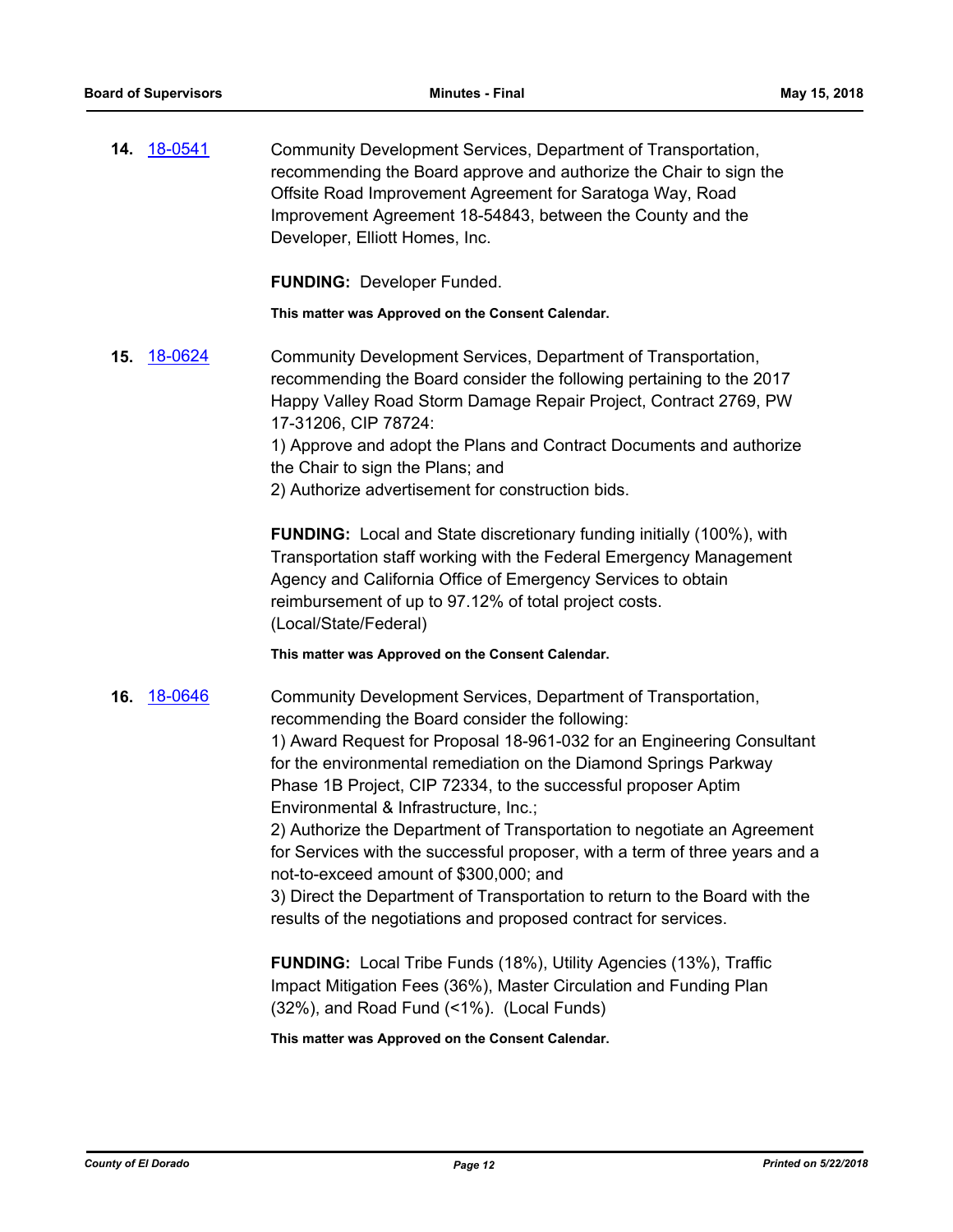**14.** [18-0541](http://eldorado.legistar.com/gateway.aspx?m=l&id=/matter.aspx?key=23886) Community Development Services, Department of Transportation, recommending the Board approve and authorize the Chair to sign the Offsite Road Improvement Agreement for Saratoga Way, Road Improvement Agreement 18-54843, between the County and the Developer, Elliott Homes, Inc.

**FUNDING:** Developer Funded.

**This matter was Approved on the Consent Calendar.**

**15.** [18-0624](http://eldorado.legistar.com/gateway.aspx?m=l&id=/matter.aspx?key=23969) Community Development Services, Department of Transportation, recommending the Board consider the following pertaining to the 2017 Happy Valley Road Storm Damage Repair Project, Contract 2769, PW 17-31206, CIP 78724:

1) Approve and adopt the Plans and Contract Documents and authorize the Chair to sign the Plans; and

2) Authorize advertisement for construction bids.

**FUNDING:** Local and State discretionary funding initially (100%), with Transportation staff working with the Federal Emergency Management Agency and California Office of Emergency Services to obtain reimbursement of up to 97.12% of total project costs. (Local/State/Federal)

**This matter was Approved on the Consent Calendar.**

**16.** [18-0646](http://eldorado.legistar.com/gateway.aspx?m=l&id=/matter.aspx?key=23991) Community Development Services, Department of Transportation, recommending the Board consider the following:

1) Award Request for Proposal 18-961-032 for an Engineering Consultant for the environmental remediation on the Diamond Springs Parkway Phase 1B Project, CIP 72334, to the successful proposer Aptim Environmental & Infrastructure, Inc.;

2) Authorize the Department of Transportation to negotiate an Agreement for Services with the successful proposer, with a term of three years and a not-to-exceed amount of \$300,000; and

3) Direct the Department of Transportation to return to the Board with the results of the negotiations and proposed contract for services.

**FUNDING:** Local Tribe Funds (18%), Utility Agencies (13%), Traffic Impact Mitigation Fees (36%), Master Circulation and Funding Plan (32%), and Road Fund (<1%). (Local Funds)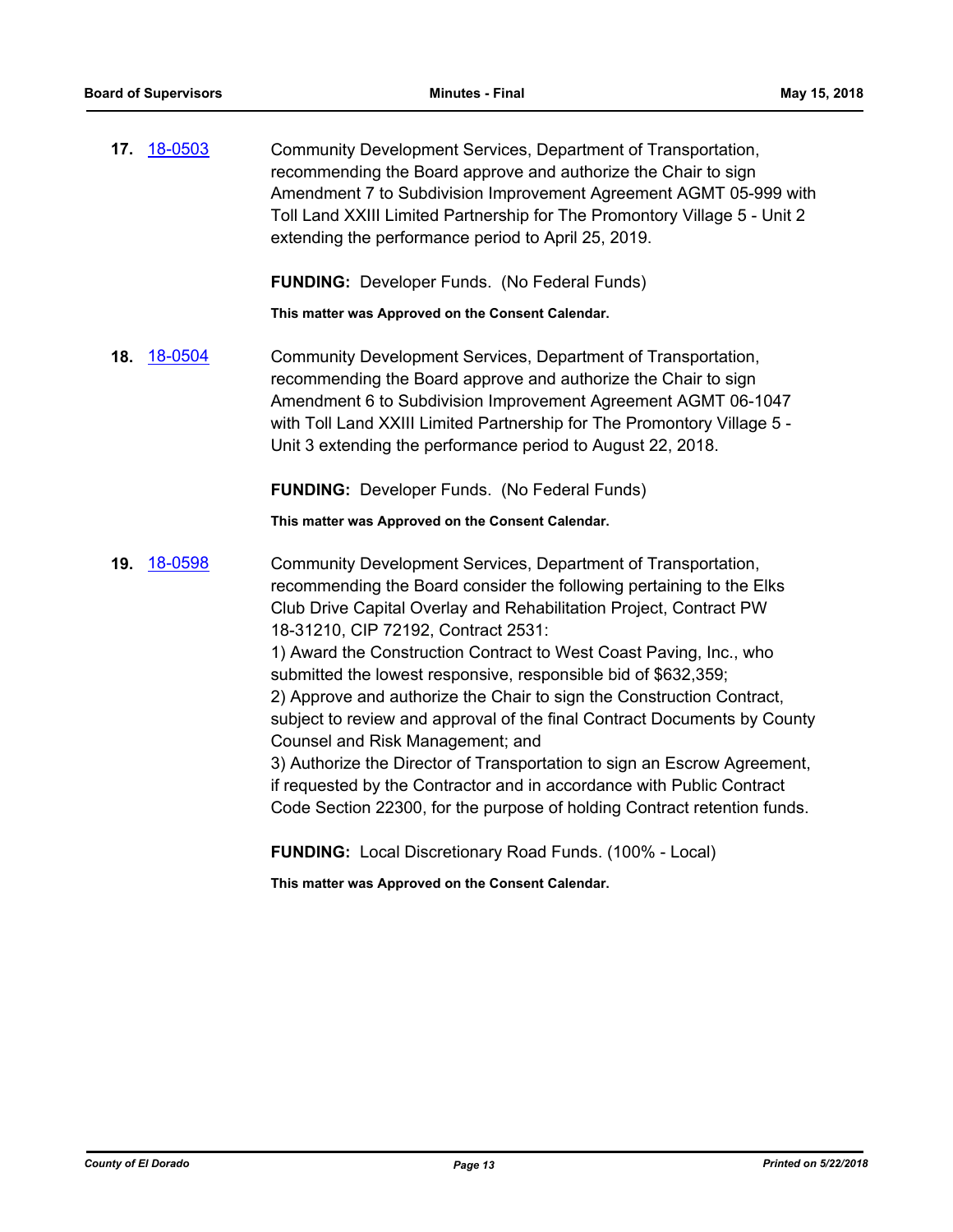**17.** [18-0503](http://eldorado.legistar.com/gateway.aspx?m=l&id=/matter.aspx?key=23848) Community Development Services, Department of Transportation, recommending the Board approve and authorize the Chair to sign Amendment 7 to Subdivision Improvement Agreement AGMT 05-999 with Toll Land XXIII Limited Partnership for The Promontory Village 5 - Unit 2 extending the performance period to April 25, 2019.

**FUNDING:** Developer Funds. (No Federal Funds)

**This matter was Approved on the Consent Calendar.**

**18.** [18-0504](http://eldorado.legistar.com/gateway.aspx?m=l&id=/matter.aspx?key=23849) Community Development Services, Department of Transportation, recommending the Board approve and authorize the Chair to sign Amendment 6 to Subdivision Improvement Agreement AGMT 06-1047 with Toll Land XXIII Limited Partnership for The Promontory Village 5 - Unit 3 extending the performance period to August 22, 2018.

**FUNDING:** Developer Funds. (No Federal Funds)

**This matter was Approved on the Consent Calendar.**

**19.** [18-0598](http://eldorado.legistar.com/gateway.aspx?m=l&id=/matter.aspx?key=23943) Community Development Services, Department of Transportation, recommending the Board consider the following pertaining to the Elks Club Drive Capital Overlay and Rehabilitation Project, Contract PW 18-31210, CIP 72192, Contract 2531: 1) Award the Construction Contract to West Coast Paving, Inc., who submitted the lowest responsive, responsible bid of \$632,359; 2) Approve and authorize the Chair to sign the Construction Contract, subject to review and approval of the final Contract Documents by County Counsel and Risk Management; and 3) Authorize the Director of Transportation to sign an Escrow Agreement, if requested by the Contractor and in accordance with Public Contract Code Section 22300, for the purpose of holding Contract retention funds.

**FUNDING:** Local Discretionary Road Funds. (100% - Local)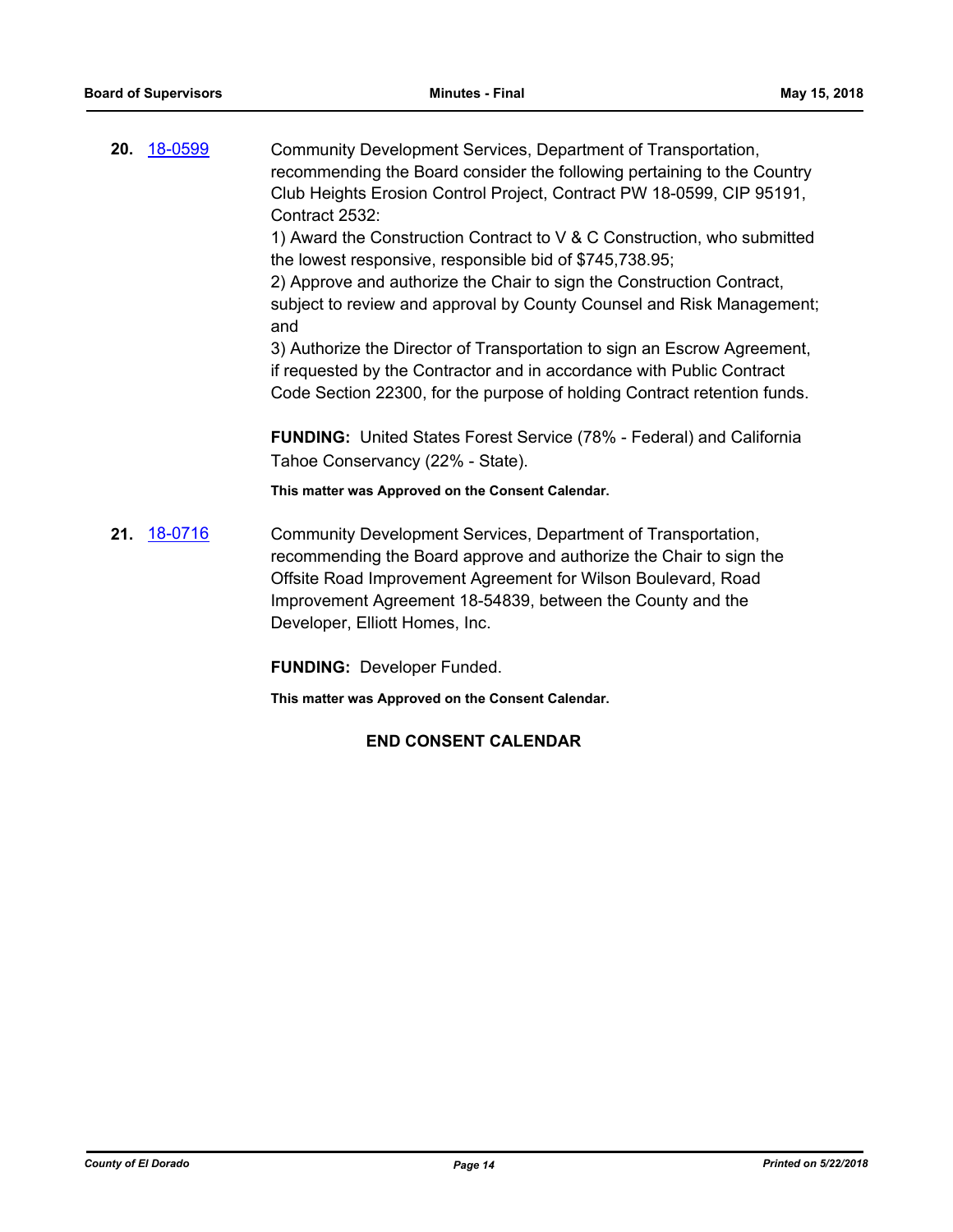**20.** [18-0599](http://eldorado.legistar.com/gateway.aspx?m=l&id=/matter.aspx?key=23944) Community Development Services, Department of Transportation, recommending the Board consider the following pertaining to the Country Club Heights Erosion Control Project, Contract PW 18-0599, CIP 95191, Contract 2532:

> 1) Award the Construction Contract to V & C Construction, who submitted the lowest responsive, responsible bid of \$745,738.95;

2) Approve and authorize the Chair to sign the Construction Contract, subject to review and approval by County Counsel and Risk Management; and

3) Authorize the Director of Transportation to sign an Escrow Agreement, if requested by the Contractor and in accordance with Public Contract Code Section 22300, for the purpose of holding Contract retention funds.

**FUNDING:** United States Forest Service (78% - Federal) and California Tahoe Conservancy (22% - State).

**This matter was Approved on the Consent Calendar.**

**21.** [18-0716](http://eldorado.legistar.com/gateway.aspx?m=l&id=/matter.aspx?key=24060) Community Development Services, Department of Transportation, recommending the Board approve and authorize the Chair to sign the Offsite Road Improvement Agreement for Wilson Boulevard, Road Improvement Agreement 18-54839, between the County and the Developer, Elliott Homes, Inc.

**FUNDING:** Developer Funded.

**This matter was Approved on the Consent Calendar.**

## **END CONSENT CALENDAR**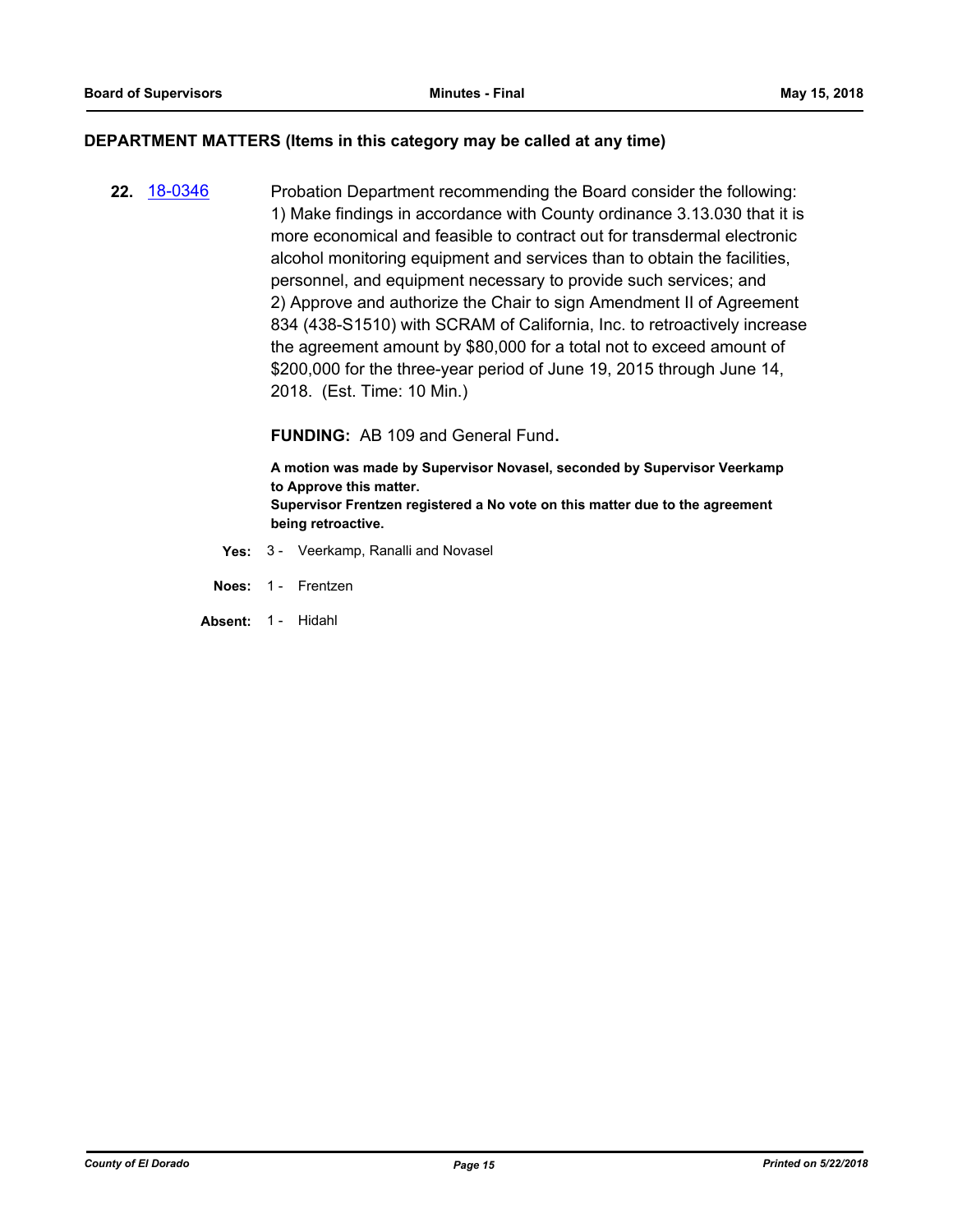#### **DEPARTMENT MATTERS (Items in this category may be called at any time)**

**22.** [18-0346](http://eldorado.legistar.com/gateway.aspx?m=l&id=/matter.aspx?key=23689) Probation Department recommending the Board consider the following: 1) Make findings in accordance with County ordinance 3.13.030 that it is more economical and feasible to contract out for transdermal electronic alcohol monitoring equipment and services than to obtain the facilities, personnel, and equipment necessary to provide such services; and 2) Approve and authorize the Chair to sign Amendment II of Agreement 834 (438-S1510) with SCRAM of California, Inc. to retroactively increase the agreement amount by \$80,000 for a total not to exceed amount of \$200,000 for the three-year period of June 19, 2015 through June 14, 2018. (Est. Time: 10 Min.)

**FUNDING:** AB 109 and General Fund**.**

**A motion was made by Supervisor Novasel, seconded by Supervisor Veerkamp to Approve this matter. Supervisor Frentzen registered a No vote on this matter due to the agreement being retroactive.**

- **Yes:** 3 Veerkamp, Ranalli and Novasel
- **Noes:** 1 Frentzen
- **Absent:** 1 Hidahl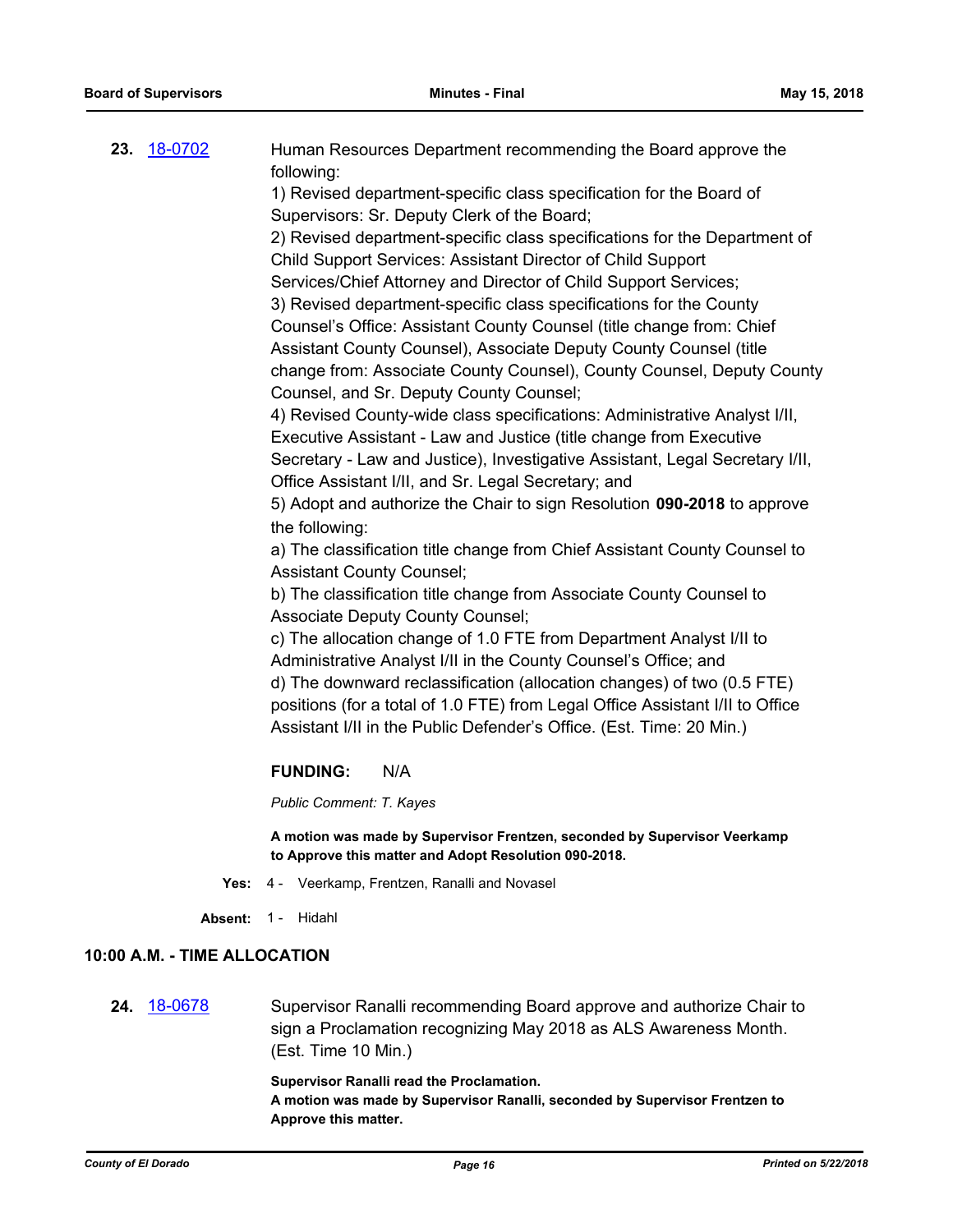| 23. 18-0702 | Human Resources Department recommending the Board approve the                |
|-------------|------------------------------------------------------------------------------|
|             | following:                                                                   |
|             | 1) Revised department-specific class specification for the Board of          |
|             | Supervisors: Sr. Deputy Clerk of the Board;                                  |
|             | 2) Revised department-specific class specifications for the Department of    |
|             | Child Support Services: Assistant Director of Child Support                  |
|             | Services/Chief Attorney and Director of Child Support Services;              |
|             | 3) Revised department-specific class specifications for the County           |
|             | Counsel's Office: Assistant County Counsel (title change from: Chief         |
|             | Assistant County Counsel), Associate Deputy County Counsel (title            |
|             | change from: Associate County Counsel), County Counsel, Deputy County        |
|             | Counsel, and Sr. Deputy County Counsel;                                      |
|             | 4) Revised County-wide class specifications: Administrative Analyst I/II,    |
|             | Executive Assistant - Law and Justice (title change from Executive           |
|             | Secretary - Law and Justice), Investigative Assistant, Legal Secretary I/II, |
|             | Office Assistant I/II, and Sr. Legal Secretary; and                          |
|             | 5) Adopt and authorize the Chair to sign Resolution 090-2018 to approve      |
|             | the following:                                                               |
|             | a) The classification title change from Chief Assistant County Counsel to    |
|             | <b>Assistant County Counsel;</b>                                             |
|             | h) The classification title change from Associate County Counsel to          |

b) The classification title change from Associate County Counsel to Associate Deputy County Counsel;

c) The allocation change of 1.0 FTE from Department Analyst I/II to Administrative Analyst I/II in the County Counsel's Office; and d) The downward reclassification (allocation changes) of two (0.5 FTE) positions (for a total of 1.0 FTE) from Legal Office Assistant I/II to Office Assistant I/II in the Public Defender's Office. (Est. Time: 20 Min.)

## **FUNDING:** N/A

*Public Comment: T. Kayes*

**A motion was made by Supervisor Frentzen, seconded by Supervisor Veerkamp to Approve this matter and Adopt Resolution 090-2018.**

- **Yes:** 4 Veerkamp, Frentzen, Ranalli and Novasel
- **Absent:** 1 Hidahl

## **10:00 A.M. - TIME ALLOCATION**

**24.** [18-0678](http://eldorado.legistar.com/gateway.aspx?m=l&id=/matter.aspx?key=24023) Supervisor Ranalli recommending Board approve and authorize Chair to sign a Proclamation recognizing May 2018 as ALS Awareness Month. (Est. Time 10 Min.)

**Supervisor Ranalli read the Proclamation.**

**A motion was made by Supervisor Ranalli, seconded by Supervisor Frentzen to Approve this matter.**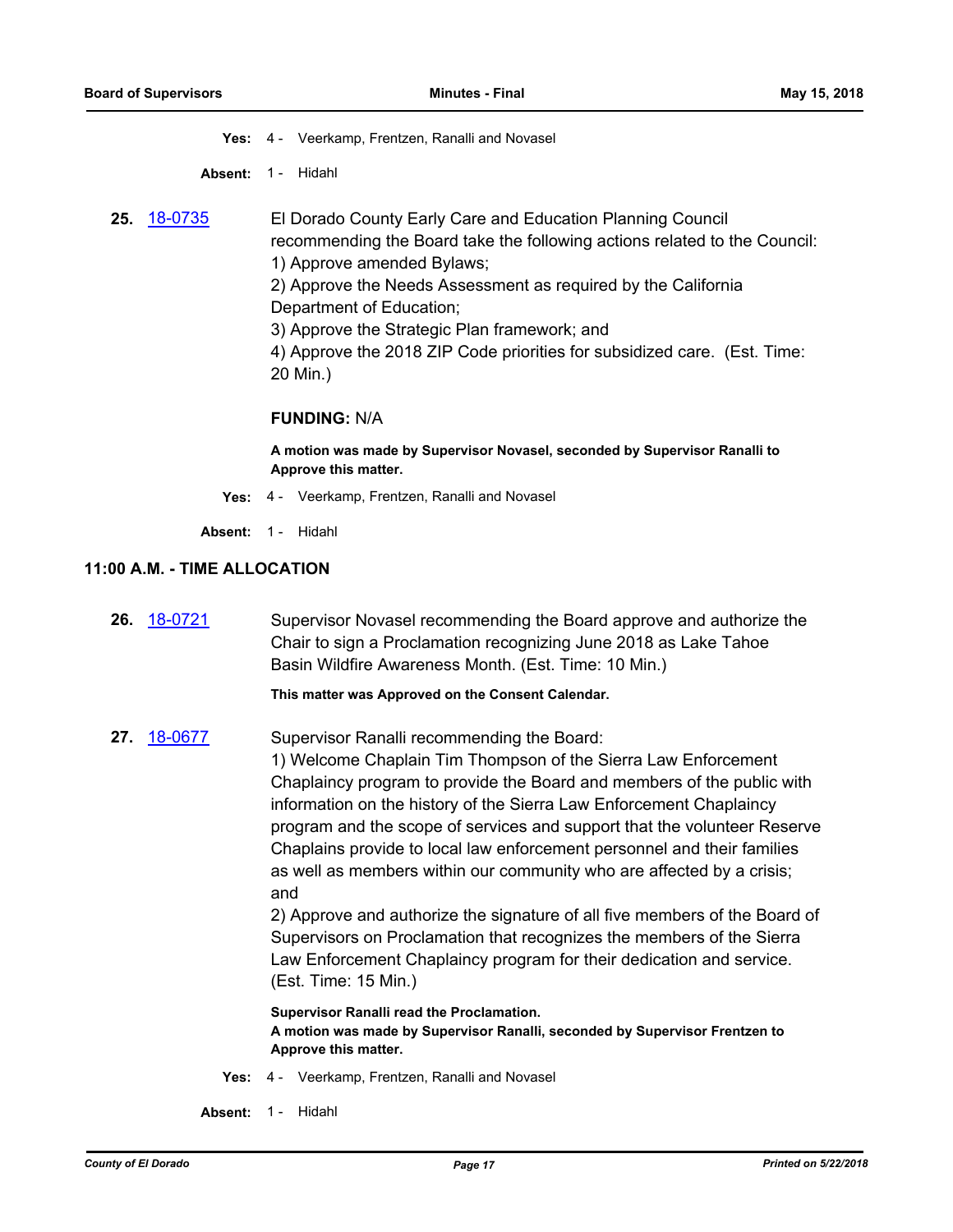**Yes:** 4 - Veerkamp, Frentzen, Ranalli and Novasel

**Absent:** 1 - Hidahl

**25.** [18-0735](http://eldorado.legistar.com/gateway.aspx?m=l&id=/matter.aspx?key=24082) El Dorado County Early Care and Education Planning Council recommending the Board take the following actions related to the Council: 1) Approve amended Bylaws;

> 2) Approve the Needs Assessment as required by the California Department of Education;

3) Approve the Strategic Plan framework; and

4) Approve the 2018 ZIP Code priorities for subsidized care. (Est. Time: 20 Min.)

#### **FUNDING:** N/A

**A motion was made by Supervisor Novasel, seconded by Supervisor Ranalli to Approve this matter.**

**Yes:** 4 - Veerkamp, Frentzen, Ranalli and Novasel

**Absent:** 1 - Hidahl

#### **11:00 A.M. - TIME ALLOCATION**

| <b>26.</b> 18-0721 | Supervisor Novasel recommending the Board approve and authorize the |
|--------------------|---------------------------------------------------------------------|
|                    | Chair to sign a Proclamation recognizing June 2018 as Lake Tahoe    |
|                    | Basin Wildfire Awareness Month. (Est. Time: 10 Min.)                |
|                    |                                                                     |

**This matter was Approved on the Consent Calendar.**

**27.** [18-0677](http://eldorado.legistar.com/gateway.aspx?m=l&id=/matter.aspx?key=24022) Supervisor Ranalli recommending the Board: 1) Welcome Chaplain Tim Thompson of the Sierra Law Enforcement Chaplaincy program to provide the Board and members of the public with information on the history of the Sierra Law Enforcement Chaplaincy program and the scope of services and support that the volunteer Reserve Chaplains provide to local law enforcement personnel and their families as well as members within our community who are affected by a crisis; and

> 2) Approve and authorize the signature of all five members of the Board of Supervisors on Proclamation that recognizes the members of the Sierra Law Enforcement Chaplaincy program for their dedication and service. (Est. Time: 15 Min.)

#### **Supervisor Ranalli read the Proclamation. A motion was made by Supervisor Ranalli, seconded by Supervisor Frentzen to Approve this matter.**

- **Yes:** 4 Veerkamp, Frentzen, Ranalli and Novasel
- **Absent:** 1 Hidahl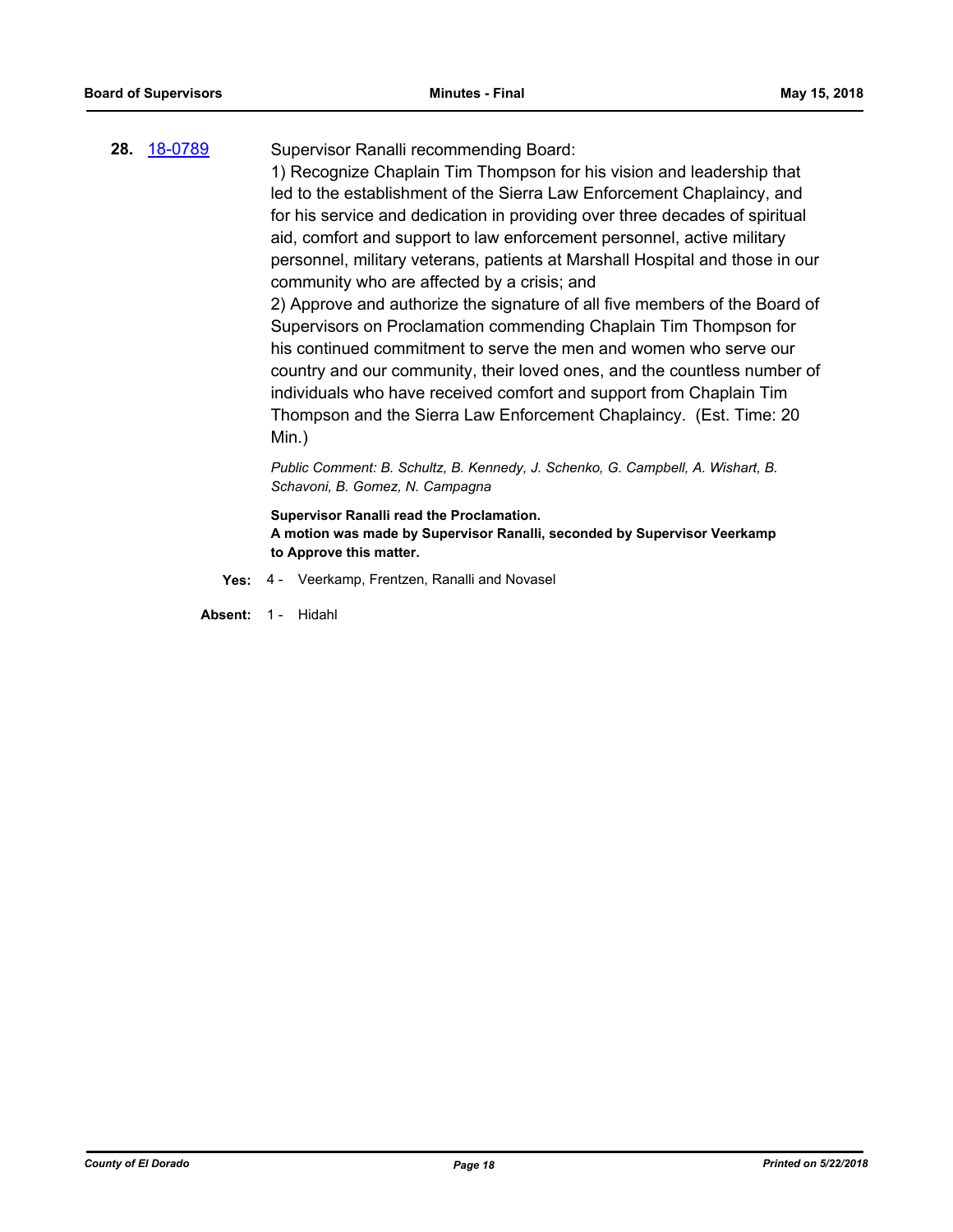# **28.** [18-0789](http://eldorado.legistar.com/gateway.aspx?m=l&id=/matter.aspx?key=24136) Supervisor Ranalli recommending Board:

1) Recognize Chaplain Tim Thompson for his vision and leadership that led to the establishment of the Sierra Law Enforcement Chaplaincy, and for his service and dedication in providing over three decades of spiritual aid, comfort and support to law enforcement personnel, active military personnel, military veterans, patients at Marshall Hospital and those in our community who are affected by a crisis; and

2) Approve and authorize the signature of all five members of the Board of Supervisors on Proclamation commending Chaplain Tim Thompson for his continued commitment to serve the men and women who serve our country and our community, their loved ones, and the countless number of individuals who have received comfort and support from Chaplain Tim Thompson and the Sierra Law Enforcement Chaplaincy. (Est. Time: 20 Min.)

*Public Comment: B. Schultz, B. Kennedy, J. Schenko, G. Campbell, A. Wishart, B. Schavoni, B. Gomez, N. Campagna*

**Supervisor Ranalli read the Proclamation. A motion was made by Supervisor Ranalli, seconded by Supervisor Veerkamp to Approve this matter.**

**Yes:** 4 - Veerkamp, Frentzen, Ranalli and Novasel

**Absent:** 1 - Hidahl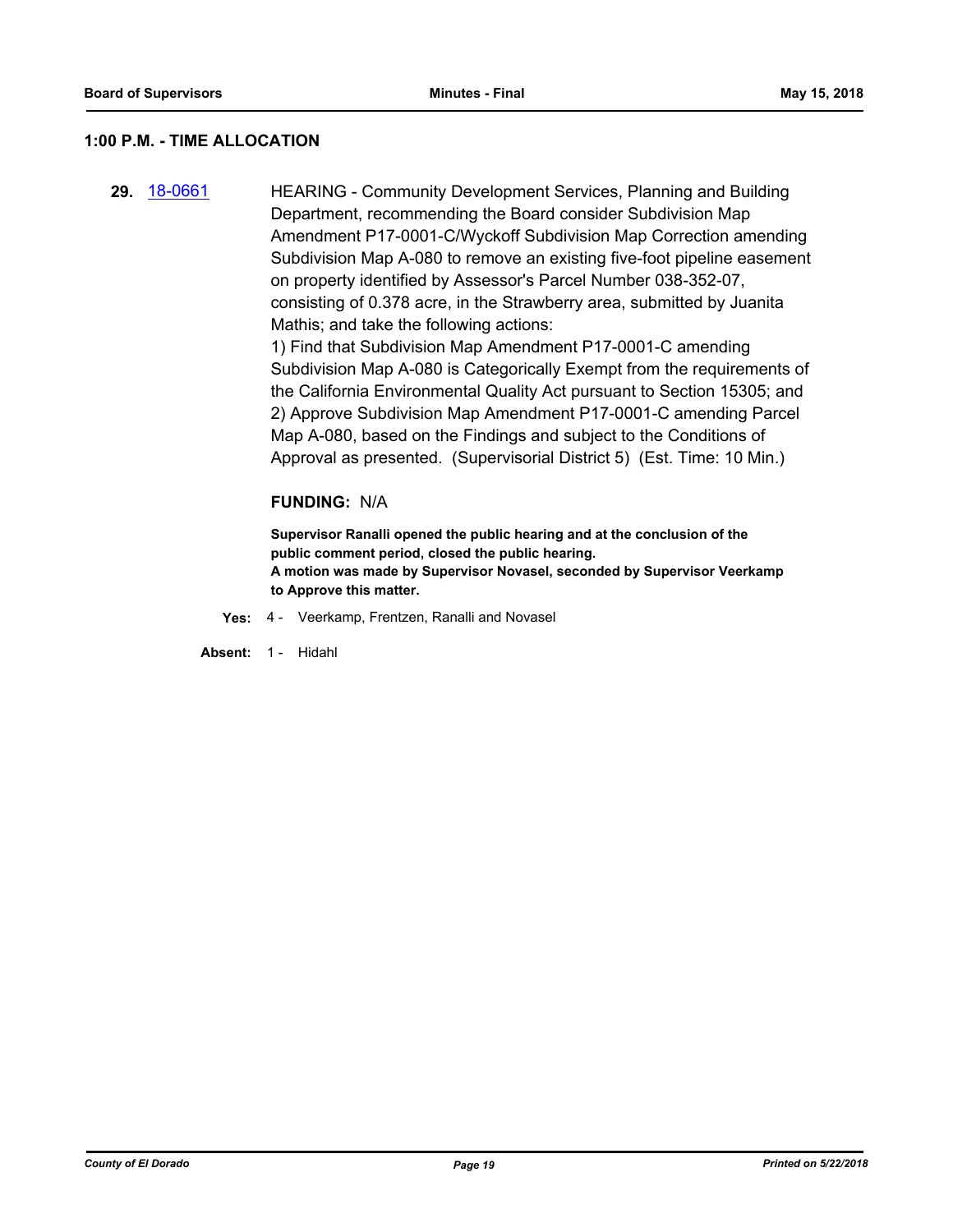#### **1:00 P.M. - TIME ALLOCATION**

**29.** [18-0661](http://eldorado.legistar.com/gateway.aspx?m=l&id=/matter.aspx?key=24006) HEARING - Community Development Services, Planning and Building Department, recommending the Board consider Subdivision Map Amendment P17-0001-C/Wyckoff Subdivision Map Correction amending Subdivision Map A-080 to remove an existing five-foot pipeline easement on property identified by Assessor's Parcel Number 038-352-07, consisting of 0.378 acre, in the Strawberry area, submitted by Juanita Mathis; and take the following actions:

1) Find that Subdivision Map Amendment P17-0001-C amending Subdivision Map A-080 is Categorically Exempt from the requirements of the California Environmental Quality Act pursuant to Section 15305; and 2) Approve Subdivision Map Amendment P17-0001-C amending Parcel Map A-080, based on the Findings and subject to the Conditions of Approval as presented. (Supervisorial District 5) (Est. Time: 10 Min.)

#### **FUNDING:** N/A

**Supervisor Ranalli opened the public hearing and at the conclusion of the public comment period, closed the public hearing. A motion was made by Supervisor Novasel, seconded by Supervisor Veerkamp to Approve this matter.**

**Yes:** 4 - Veerkamp, Frentzen, Ranalli and Novasel

**Absent:** 1 - Hidahl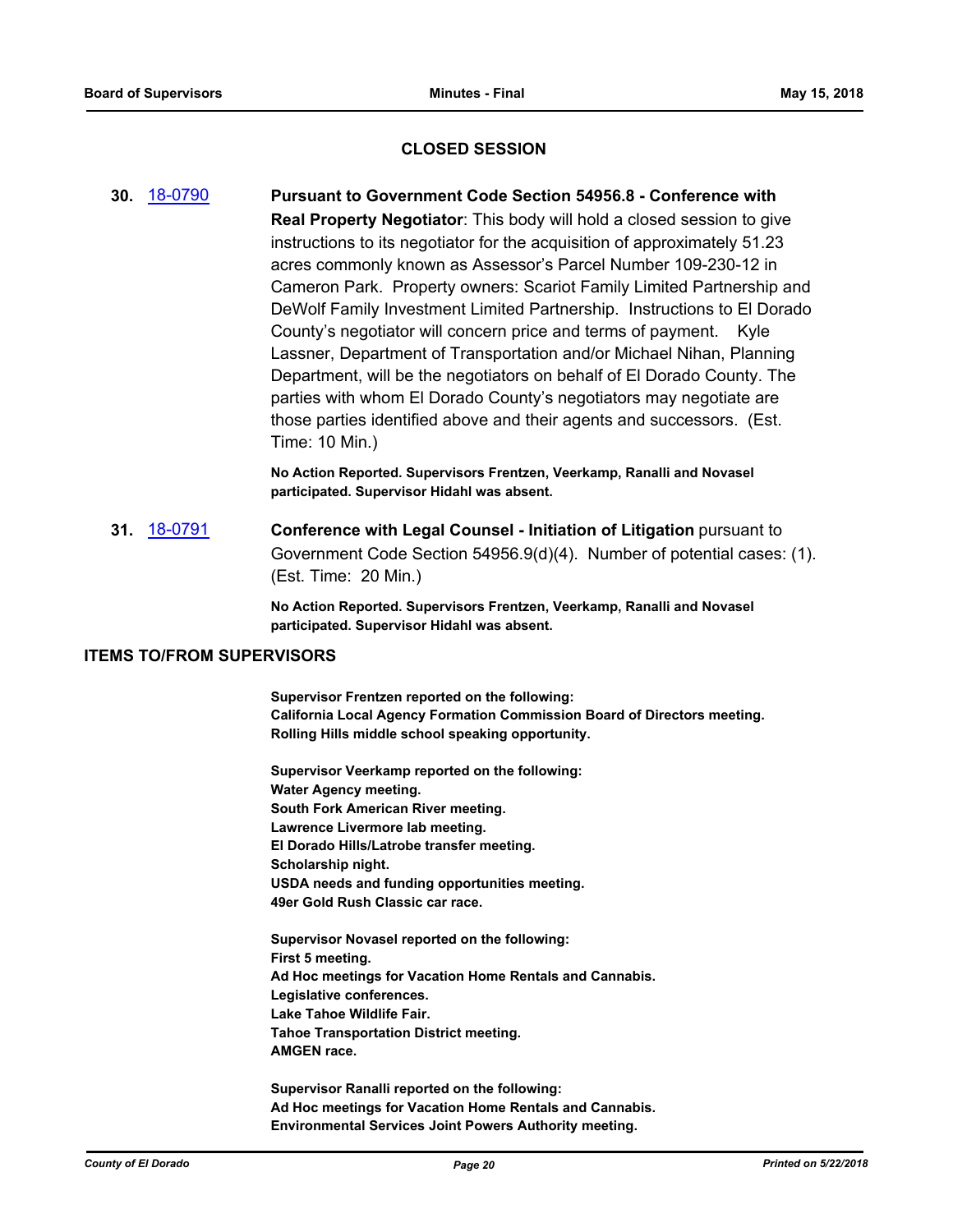#### **CLOSED SESSION**

**30.** [18-0790](http://eldorado.legistar.com/gateway.aspx?m=l&id=/matter.aspx?key=24137) **Pursuant to Government Code Section 54956.8 - Conference with Real Property Negotiator**: This body will hold a closed session to give instructions to its negotiator for the acquisition of approximately 51.23 acres commonly known as Assessor's Parcel Number 109-230-12 in Cameron Park. Property owners: Scariot Family Limited Partnership and DeWolf Family Investment Limited Partnership. Instructions to El Dorado County's negotiator will concern price and terms of payment. Kyle Lassner, Department of Transportation and/or Michael Nihan, Planning Department, will be the negotiators on behalf of El Dorado County. The parties with whom El Dorado County's negotiators may negotiate are those parties identified above and their agents and successors. (Est. Time: 10 Min.)

> **No Action Reported. Supervisors Frentzen, Veerkamp, Ranalli and Novasel participated. Supervisor Hidahl was absent.**

**31.** [18-0791](http://eldorado.legistar.com/gateway.aspx?m=l&id=/matter.aspx?key=24138) **Conference with Legal Counsel - Initiation of Litigation** pursuant to Government Code Section 54956.9(d)(4). Number of potential cases: (1). (Est. Time: 20 Min.)

> **No Action Reported. Supervisors Frentzen, Veerkamp, Ranalli and Novasel participated. Supervisor Hidahl was absent.**

#### **ITEMS TO/FROM SUPERVISORS**

**Supervisor Frentzen reported on the following: California Local Agency Formation Commission Board of Directors meeting. Rolling Hills middle school speaking opportunity.**

**Supervisor Veerkamp reported on the following: Water Agency meeting. South Fork American River meeting. Lawrence Livermore lab meeting. El Dorado Hills/Latrobe transfer meeting. Scholarship night. USDA needs and funding opportunities meeting. 49er Gold Rush Classic car race.**

**Supervisor Novasel reported on the following: First 5 meeting. Ad Hoc meetings for Vacation Home Rentals and Cannabis. Legislative conferences. Lake Tahoe Wildlife Fair. Tahoe Transportation District meeting. AMGEN race.**

**Supervisor Ranalli reported on the following: Ad Hoc meetings for Vacation Home Rentals and Cannabis. Environmental Services Joint Powers Authority meeting.**